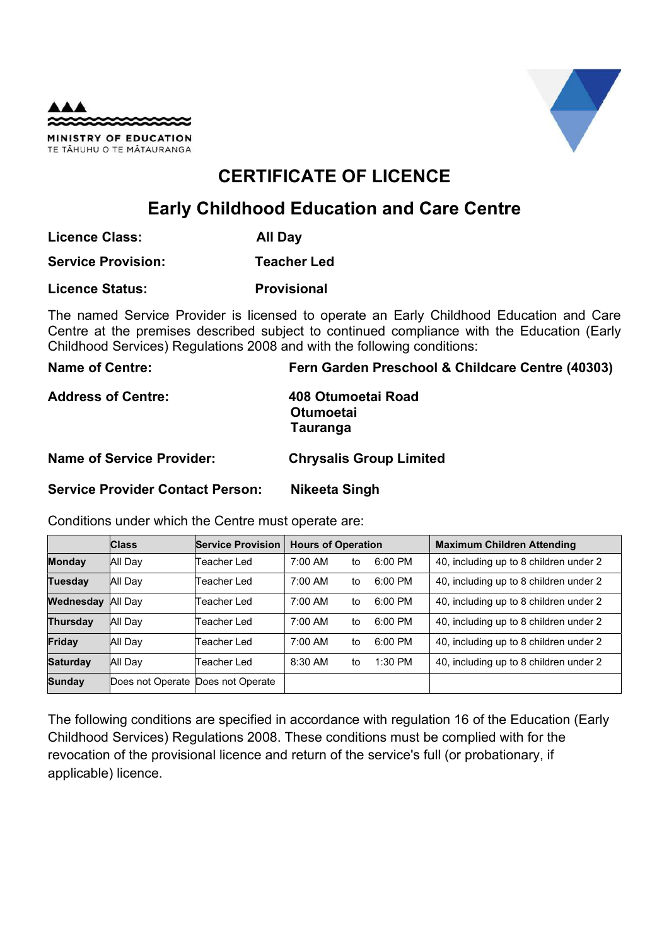



## CERTIFICATE OF LICENCE

## Early Childhood Education and Care Centre

| Licence Class:            | All Day            |
|---------------------------|--------------------|
| <b>Service Provision:</b> | <b>Teacher Led</b> |
| <b>Licence Status:</b>    | <b>Provisional</b> |

The named Service Provider is licensed to operate an Early Childhood Education and Care Centre at the premises described subject to continued compliance with the Education (Early Childhood Services) Regulations 2008 and with the following conditions:

| <b>Name of Centre:</b> | Fern Garden Preschool & Childcare Centre (40303) |
|------------------------|--------------------------------------------------|
|                        |                                                  |

| 408 Otumoetai Road |
|--------------------|
| Otumoetai          |
| <b>Tauranga</b>    |
|                    |

## Name of Service Provider: Chrysalis Group Limited

## Service Provider Contact Person: Nikeeta Singh

Conditions under which the Centre must operate are:

|                 | <b>Class</b>                      | <b>Service Provision</b> | <b>Hours of Operation</b> |    |           | <b>Maximum Children Attending</b>      |  |
|-----------------|-----------------------------------|--------------------------|---------------------------|----|-----------|----------------------------------------|--|
| <b>Monday</b>   | All Day                           | Teacher Led              | 7:00 AM                   | to | $6:00$ PM | 40, including up to 8 children under 2 |  |
| Tuesday         | All Day                           | Teacher Led              | $7:00$ AM                 | to | $6:00$ PM | 40, including up to 8 children under 2 |  |
| Wednesday       | All Dav                           | Teacher Led              | 7:00 AM                   | to | $6:00$ PM | 40, including up to 8 children under 2 |  |
| <b>Thursday</b> | All Day                           | Teacher Led              | 7:00 AM                   | to | $6:00$ PM | 40, including up to 8 children under 2 |  |
| <b>Friday</b>   | All Day                           | Teacher Led              | $7:00$ AM                 | to | $6:00$ PM | 40, including up to 8 children under 2 |  |
| <b>Saturday</b> | All Day                           | Teacher Led              | 8:30 AM                   | to | $1:30$ PM | 40, including up to 8 children under 2 |  |
| <b>Sunday</b>   | Does not Operate Does not Operate |                          |                           |    |           |                                        |  |

The following conditions are specified in accordance with regulation 16 of the Education (Early Childhood Services) Regulations 2008. These conditions must be complied with for the revocation of the provisional licence and return of the service's full (or probationary, if applicable) licence.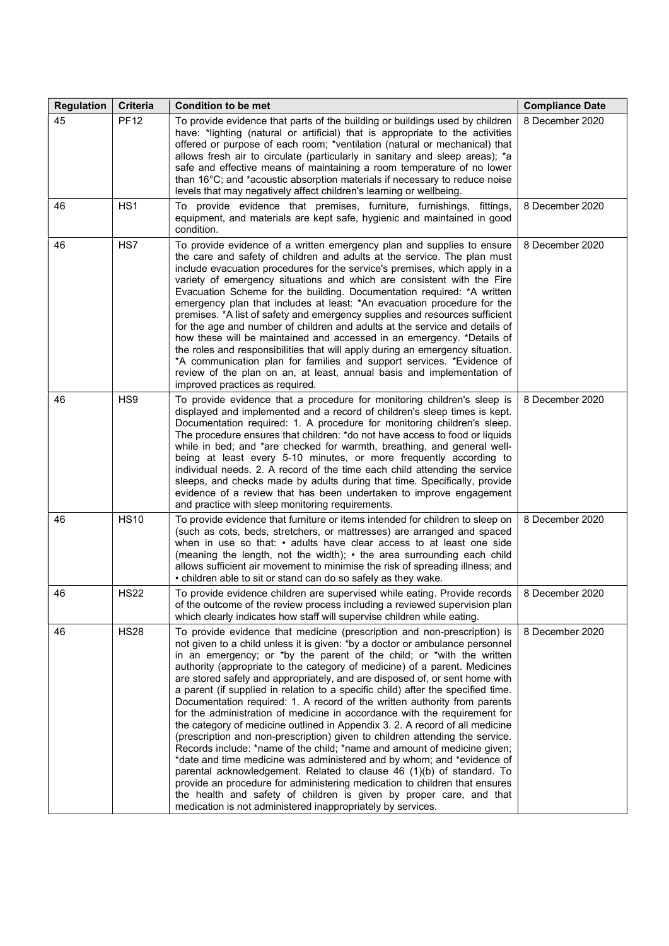| <b>Regulation</b> | <b>Criteria</b> | <b>Condition to be met</b>                                                                                                                                                                                                                                                                                                                                                                                                                                                                                                                                                                                                                                                                                                                                                                                                                                                                                                                                                                                                                                                                                                                                                                                                                                      | <b>Compliance Date</b> |
|-------------------|-----------------|-----------------------------------------------------------------------------------------------------------------------------------------------------------------------------------------------------------------------------------------------------------------------------------------------------------------------------------------------------------------------------------------------------------------------------------------------------------------------------------------------------------------------------------------------------------------------------------------------------------------------------------------------------------------------------------------------------------------------------------------------------------------------------------------------------------------------------------------------------------------------------------------------------------------------------------------------------------------------------------------------------------------------------------------------------------------------------------------------------------------------------------------------------------------------------------------------------------------------------------------------------------------|------------------------|
| 45                | <b>PF12</b>     | To provide evidence that parts of the building or buildings used by children<br>have: *lighting (natural or artificial) that is appropriate to the activities<br>offered or purpose of each room; *ventilation (natural or mechanical) that<br>allows fresh air to circulate (particularly in sanitary and sleep areas); *a<br>safe and effective means of maintaining a room temperature of no lower<br>than 16°C; and *acoustic absorption materials if necessary to reduce noise<br>levels that may negatively affect children's learning or wellbeing.                                                                                                                                                                                                                                                                                                                                                                                                                                                                                                                                                                                                                                                                                                      | 8 December 2020        |
| 46                | HS <sub>1</sub> | To provide evidence that premises, furniture, furnishings, fittings,<br>equipment, and materials are kept safe, hygienic and maintained in good<br>condition.                                                                                                                                                                                                                                                                                                                                                                                                                                                                                                                                                                                                                                                                                                                                                                                                                                                                                                                                                                                                                                                                                                   | 8 December 2020        |
| 46                | HS7             | To provide evidence of a written emergency plan and supplies to ensure<br>the care and safety of children and adults at the service. The plan must<br>include evacuation procedures for the service's premises, which apply in a<br>variety of emergency situations and which are consistent with the Fire<br>Evacuation Scheme for the building. Documentation required: *A written<br>emergency plan that includes at least: *An evacuation procedure for the<br>premises. *A list of safety and emergency supplies and resources sufficient<br>for the age and number of children and adults at the service and details of<br>how these will be maintained and accessed in an emergency. *Details of<br>the roles and responsibilities that will apply during an emergency situation.<br>*A communication plan for families and support services. *Evidence of<br>review of the plan on an, at least, annual basis and implementation of<br>improved practices as required.                                                                                                                                                                                                                                                                                  | 8 December 2020        |
| 46                | HS9             | To provide evidence that a procedure for monitoring children's sleep is<br>displayed and implemented and a record of children's sleep times is kept.<br>Documentation required: 1. A procedure for monitoring children's sleep.<br>The procedure ensures that children: * do not have access to food or liquids<br>while in bed; and *are checked for warmth, breathing, and general well-<br>being at least every 5-10 minutes, or more frequently according to<br>individual needs. 2. A record of the time each child attending the service<br>sleeps, and checks made by adults during that time. Specifically, provide<br>evidence of a review that has been undertaken to improve engagement<br>and practice with sleep monitoring requirements.                                                                                                                                                                                                                                                                                                                                                                                                                                                                                                          | 8 December 2020        |
| 46                | <b>HS10</b>     | To provide evidence that furniture or items intended for children to sleep on<br>(such as cots, beds, stretchers, or mattresses) are arranged and spaced<br>when in use so that: • adults have clear access to at least one side<br>(meaning the length, not the width); • the area surrounding each child<br>allows sufficient air movement to minimise the risk of spreading illness; and<br>• children able to sit or stand can do so safely as they wake.                                                                                                                                                                                                                                                                                                                                                                                                                                                                                                                                                                                                                                                                                                                                                                                                   | 8 December 2020        |
| 46                | <b>HS22</b>     | To provide evidence children are supervised while eating. Provide records<br>of the outcome of the review process including a reviewed supervision plan<br>which clearly indicates how staff will supervise children while eating.                                                                                                                                                                                                                                                                                                                                                                                                                                                                                                                                                                                                                                                                                                                                                                                                                                                                                                                                                                                                                              | 8 December 2020        |
| 46                | <b>HS28</b>     | To provide evidence that medicine (prescription and non-prescription) is<br>not given to a child unless it is given: *by a doctor or ambulance personnel<br>in an emergency; or *by the parent of the child; or *with the written<br>authority (appropriate to the category of medicine) of a parent. Medicines<br>are stored safely and appropriately, and are disposed of, or sent home with<br>a parent (if supplied in relation to a specific child) after the specified time.<br>Documentation required: 1. A record of the written authority from parents<br>for the administration of medicine in accordance with the requirement for<br>the category of medicine outlined in Appendix 3. 2. A record of all medicine<br>(prescription and non-prescription) given to children attending the service.<br>Records include: *name of the child; *name and amount of medicine given;<br>*date and time medicine was administered and by whom; and *evidence of<br>parental acknowledgement. Related to clause 46 (1)(b) of standard. To<br>provide an procedure for administering medication to children that ensures<br>the health and safety of children is given by proper care, and that<br>medication is not administered inappropriately by services. | 8 December 2020        |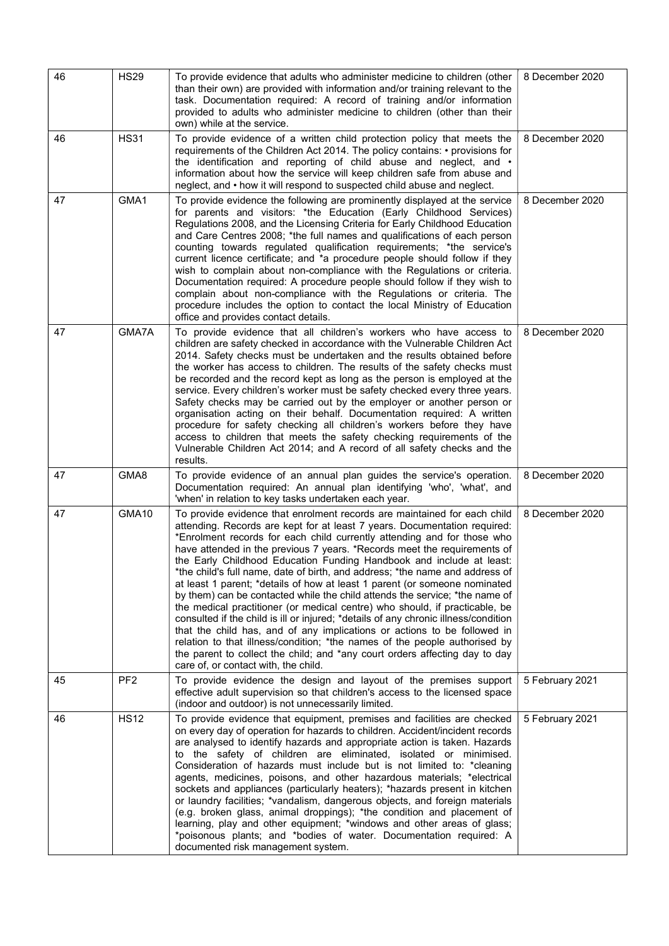| 46 | <b>HS29</b>     | To provide evidence that adults who administer medicine to children (other<br>than their own) are provided with information and/or training relevant to the<br>task. Documentation required: A record of training and/or information<br>provided to adults who administer medicine to children (other than their<br>own) while at the service.                                                                                                                                                                                                                                                                                                                                                                                                                                                                                                                                                                                                                                                                                                                                           | 8 December 2020 |
|----|-----------------|------------------------------------------------------------------------------------------------------------------------------------------------------------------------------------------------------------------------------------------------------------------------------------------------------------------------------------------------------------------------------------------------------------------------------------------------------------------------------------------------------------------------------------------------------------------------------------------------------------------------------------------------------------------------------------------------------------------------------------------------------------------------------------------------------------------------------------------------------------------------------------------------------------------------------------------------------------------------------------------------------------------------------------------------------------------------------------------|-----------------|
| 46 | <b>HS31</b>     | To provide evidence of a written child protection policy that meets the<br>requirements of the Children Act 2014. The policy contains: • provisions for<br>the identification and reporting of child abuse and neglect, and •<br>information about how the service will keep children safe from abuse and<br>neglect, and • how it will respond to suspected child abuse and neglect.                                                                                                                                                                                                                                                                                                                                                                                                                                                                                                                                                                                                                                                                                                    | 8 December 2020 |
| 47 | GMA1            | To provide evidence the following are prominently displayed at the service<br>for parents and visitors: *the Education (Early Childhood Services)<br>Regulations 2008, and the Licensing Criteria for Early Childhood Education<br>and Care Centres 2008; *the full names and qualifications of each person<br>counting towards regulated qualification requirements; *the service's<br>current licence certificate; and *a procedure people should follow if they<br>wish to complain about non-compliance with the Regulations or criteria.<br>Documentation required: A procedure people should follow if they wish to<br>complain about non-compliance with the Regulations or criteria. The<br>procedure includes the option to contact the local Ministry of Education<br>office and provides contact details.                                                                                                                                                                                                                                                                     | 8 December 2020 |
| 47 | GMA7A           | To provide evidence that all children's workers who have access to<br>children are safety checked in accordance with the Vulnerable Children Act<br>2014. Safety checks must be undertaken and the results obtained before<br>the worker has access to children. The results of the safety checks must<br>be recorded and the record kept as long as the person is employed at the<br>service. Every children's worker must be safety checked every three years.<br>Safety checks may be carried out by the employer or another person or<br>organisation acting on their behalf. Documentation required: A written<br>procedure for safety checking all children's workers before they have<br>access to children that meets the safety checking requirements of the<br>Vulnerable Children Act 2014; and A record of all safety checks and the<br>results.                                                                                                                                                                                                                             | 8 December 2020 |
| 47 | GMA8            | To provide evidence of an annual plan guides the service's operation.<br>Documentation required: An annual plan identifying 'who', 'what', and<br>'when' in relation to key tasks undertaken each year.                                                                                                                                                                                                                                                                                                                                                                                                                                                                                                                                                                                                                                                                                                                                                                                                                                                                                  | 8 December 2020 |
| 47 | GMA10           | To provide evidence that enrolment records are maintained for each child<br>attending. Records are kept for at least 7 years. Documentation required:<br>*Enrolment records for each child currently attending and for those who<br>have attended in the previous 7 years. *Records meet the requirements of<br>the Early Childhood Education Funding Handbook and include at least:<br>*the child's full name, date of birth, and address; *the name and address of<br>at least 1 parent; *details of how at least 1 parent (or someone nominated<br>by them) can be contacted while the child attends the service; *the name of<br>the medical practitioner (or medical centre) who should, if practicable, be<br>consulted if the child is ill or injured; *details of any chronic illness/condition<br>that the child has, and of any implications or actions to be followed in<br>relation to that illness/condition; *the names of the people authorised by<br>the parent to collect the child; and *any court orders affecting day to day<br>care of, or contact with, the child. | 8 December 2020 |
| 45 | PF <sub>2</sub> | To provide evidence the design and layout of the premises support<br>effective adult supervision so that children's access to the licensed space<br>(indoor and outdoor) is not unnecessarily limited.                                                                                                                                                                                                                                                                                                                                                                                                                                                                                                                                                                                                                                                                                                                                                                                                                                                                                   | 5 February 2021 |
| 46 | <b>HS12</b>     | To provide evidence that equipment, premises and facilities are checked<br>on every day of operation for hazards to children. Accident/incident records<br>are analysed to identify hazards and appropriate action is taken. Hazards<br>to the safety of children are eliminated, isolated or minimised.<br>Consideration of hazards must include but is not limited to: *cleaning<br>agents, medicines, poisons, and other hazardous materials; *electrical<br>sockets and appliances (particularly heaters); *hazards present in kitchen<br>or laundry facilities; *vandalism, dangerous objects, and foreign materials<br>(e.g. broken glass, animal droppings); *the condition and placement of<br>learning, play and other equipment; *windows and other areas of glass;<br>*poisonous plants; and *bodies of water. Documentation required: A<br>documented risk management system.                                                                                                                                                                                                | 5 February 2021 |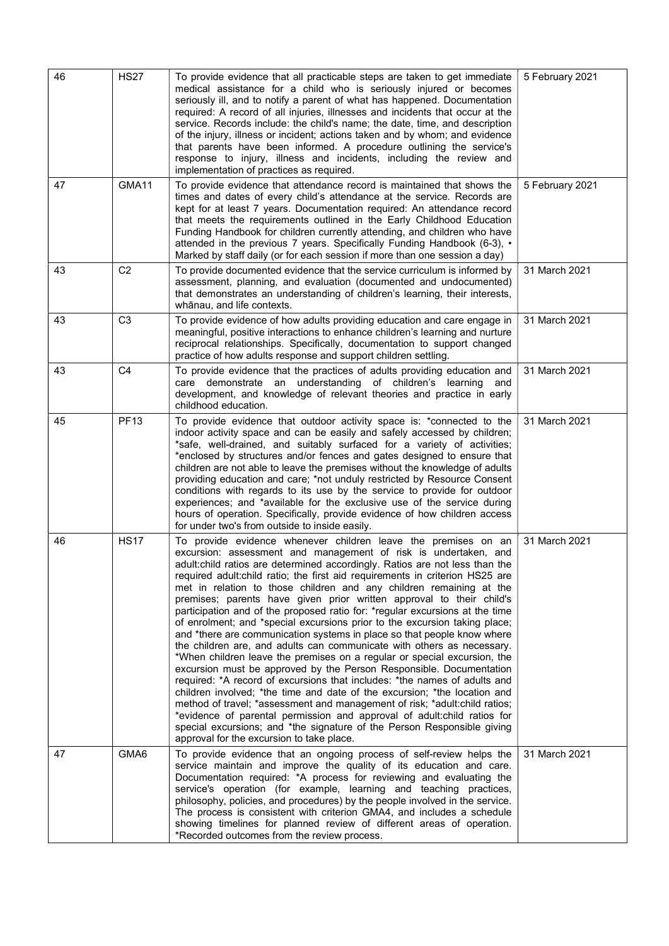| 46 | <b>HS27</b>    | To provide evidence that all practicable steps are taken to get immediate<br>medical assistance for a child who is seriously injured or becomes<br>seriously ill, and to notify a parent of what has happened. Documentation<br>required: A record of all injuries, illnesses and incidents that occur at the<br>service. Records include: the child's name; the date, time, and description<br>of the injury, illness or incident; actions taken and by whom; and evidence<br>that parents have been informed. A procedure outlining the service's<br>response to injury, illness and incidents, including the review and<br>implementation of practices as required.                                                                                                                                                                                                                                                                                                                                                                                                                                                                                                                                                                                                                                                                                              | 5 February 2021 |
|----|----------------|---------------------------------------------------------------------------------------------------------------------------------------------------------------------------------------------------------------------------------------------------------------------------------------------------------------------------------------------------------------------------------------------------------------------------------------------------------------------------------------------------------------------------------------------------------------------------------------------------------------------------------------------------------------------------------------------------------------------------------------------------------------------------------------------------------------------------------------------------------------------------------------------------------------------------------------------------------------------------------------------------------------------------------------------------------------------------------------------------------------------------------------------------------------------------------------------------------------------------------------------------------------------------------------------------------------------------------------------------------------------|-----------------|
| 47 | GMA11          | To provide evidence that attendance record is maintained that shows the<br>times and dates of every child's attendance at the service. Records are<br>kept for at least 7 years. Documentation required: An attendance record<br>that meets the requirements outlined in the Early Childhood Education<br>Funding Handbook for children currently attending, and children who have<br>attended in the previous 7 years. Specifically Funding Handbook (6-3), •<br>Marked by staff daily (or for each session if more than one session a day)                                                                                                                                                                                                                                                                                                                                                                                                                                                                                                                                                                                                                                                                                                                                                                                                                        | 5 February 2021 |
| 43 | C <sub>2</sub> | To provide documented evidence that the service curriculum is informed by<br>assessment, planning, and evaluation (documented and undocumented)<br>that demonstrates an understanding of children's learning, their interests,<br>whānau, and life contexts.                                                                                                                                                                                                                                                                                                                                                                                                                                                                                                                                                                                                                                                                                                                                                                                                                                                                                                                                                                                                                                                                                                        | 31 March 2021   |
| 43 | C <sub>3</sub> | To provide evidence of how adults providing education and care engage in<br>meaningful, positive interactions to enhance children's learning and nurture<br>reciprocal relationships. Specifically, documentation to support changed<br>practice of how adults response and support children settling.                                                                                                                                                                                                                                                                                                                                                                                                                                                                                                                                                                                                                                                                                                                                                                                                                                                                                                                                                                                                                                                              | 31 March 2021   |
| 43 | C <sub>4</sub> | To provide evidence that the practices of adults providing education and<br>care demonstrate an understanding of children's learning<br>and<br>development, and knowledge of relevant theories and practice in early<br>childhood education.                                                                                                                                                                                                                                                                                                                                                                                                                                                                                                                                                                                                                                                                                                                                                                                                                                                                                                                                                                                                                                                                                                                        | 31 March 2021   |
| 45 | <b>PF13</b>    | To provide evidence that outdoor activity space is: *connected to the<br>indoor activity space and can be easily and safely accessed by children;<br>*safe, well-drained, and suitably surfaced for a variety of activities;<br>*enclosed by structures and/or fences and gates designed to ensure that<br>children are not able to leave the premises without the knowledge of adults<br>providing education and care; *not unduly restricted by Resource Consent<br>conditions with regards to its use by the service to provide for outdoor<br>experiences; and *available for the exclusive use of the service during<br>hours of operation. Specifically, provide evidence of how children access<br>for under two's from outside to inside easily.                                                                                                                                                                                                                                                                                                                                                                                                                                                                                                                                                                                                            | 31 March 2021   |
| 46 | <b>HS17</b>    | To provide evidence whenever children leave the premises on an<br>excursion: assessment and management of risk is undertaken, and<br>adult: child ratios are determined accordingly. Ratios are not less than the<br>required adult: child ratio; the first aid requirements in criterion HS25 are<br>met in relation to those children and any children remaining at the<br>premises; parents have given prior written approval to their child's<br>participation and of the proposed ratio for: *regular excursions at the time<br>of enrolment; and *special excursions prior to the excursion taking place;<br>and *there are communication systems in place so that people know where<br>the children are, and adults can communicate with others as necessary.<br>*When children leave the premises on a regular or special excursion, the<br>excursion must be approved by the Person Responsible. Documentation<br>required: *A record of excursions that includes: *the names of adults and<br>children involved; *the time and date of the excursion; *the location and<br>method of travel; *assessment and management of risk; *adult:child ratios;<br>*evidence of parental permission and approval of adult: child ratios for<br>special excursions; and *the signature of the Person Responsible giving<br>approval for the excursion to take place. | 31 March 2021   |
| 47 | GMA6           | To provide evidence that an ongoing process of self-review helps the<br>service maintain and improve the quality of its education and care.<br>Documentation required: *A process for reviewing and evaluating the<br>service's operation (for example, learning and teaching practices,<br>philosophy, policies, and procedures) by the people involved in the service.<br>The process is consistent with criterion GMA4, and includes a schedule<br>showing timelines for planned review of different areas of operation.<br>*Recorded outcomes from the review process.                                                                                                                                                                                                                                                                                                                                                                                                                                                                                                                                                                                                                                                                                                                                                                                          | 31 March 2021   |